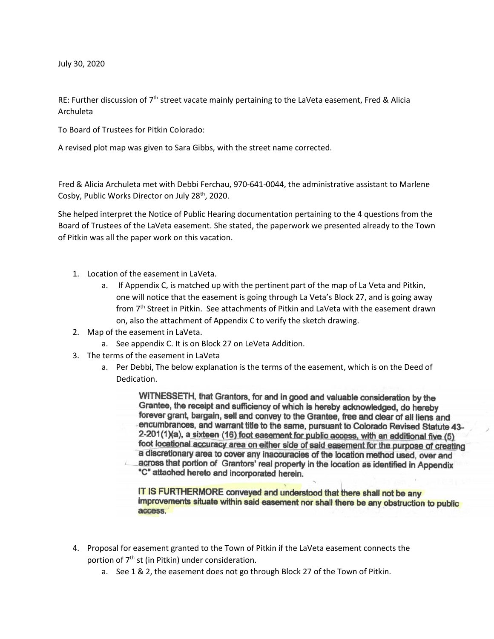July 30, 2020

RE: Further discussion of  $7<sup>th</sup>$  street vacate mainly pertaining to the LaVeta easement, Fred & Alicia Archuleta

To Board of Trustees for Pitkin Colorado:

A revised plot map was given to Sara Gibbs, with the street name corrected.

Fred & Alicia Archuleta met with Debbi Ferchau, 970-641-0044, the administrative assistant to Marlene Cosby, Public Works Director on July 28<sup>th</sup>, 2020.

She helped interpret the Notice of Public Hearing documentation pertaining to the 4 questions from the Board of Trustees of the LaVeta easement. She stated, the paperwork we presented already to the Town of Pitkin was all the paper work on this vacation.

- 1. Location of the easement in LaVeta.
	- a. If Appendix C, is matched up with the pertinent part of the map of La Veta and Pitkin, one will notice that the easement is going through La Veta's Block 27, and is going away from 7th Street in Pitkin. See attachments of Pitkin and LaVeta with the easement drawn on, also the attachment of Appendix C to verify the sketch drawing.
- 2. Map of the easement in LaVeta.
	- a. See appendix C. It is on Block 27 on LeVeta Addition.
- 3. The terms of the easement in LaVeta
	- a. Per Debbi, The below explanation is the terms of the easement, which is on the Deed of Dedication.

WITNESSETH, that Grantors, for and in good and valuable consideration by the Grantee, the receipt and sufficiency of which is hereby acknowledged, do hereby forever grant, bargain, sell and convey to the Grantee, free and clear of all liens and encumbrances, and warrant title to the same, pursuant to Colorado Revised Statute 43-2-201(1)(a), a sixteen (16) foot easement for public access, with an additional five (5) foot locational accuracy area on either side of said easement for the purpose of creating a discretionary area to cover any inaccuracies of the location method used, over and across that portion of Grantors' real property in the location as identified in Appendix "C" attached hereto and incorporated herein.

IT IS FURTHERMORE conveyed and understood that there shall not be any improvements situate within said easement nor shall there be any obstruction to public access.

- 4. Proposal for easement granted to the Town of Pitkin if the LaVeta easement connects the portion of 7<sup>th</sup> st (in Pitkin) under consideration.
	- a. See 1 & 2, the easement does not go through Block 27 of the Town of Pitkin.